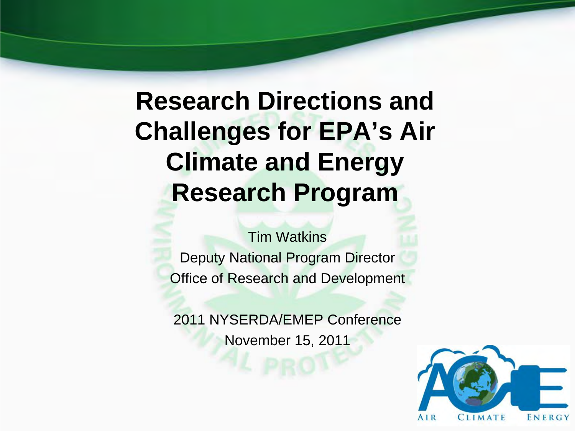## **Research Directions and Challenges for EPA's Air Climate and Energy Research Program**

Tim Watkins Deputy National Program Director Office of Research and Development

2011 NYSERDA/EMEP Conference November 15, 2011

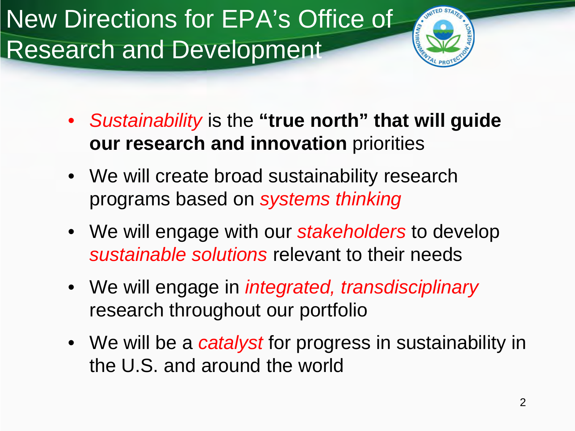New Directions for EPA's Office of Research and Development



- *Sustainability* is the **"true north" that will guide our research and innovation** priorities
- We will create broad sustainability research programs based on *systems thinking*
- We will engage with our *stakeholders* to develop *sustainable solutions* relevant to their needs
- We will engage in *integrated, transdisciplinary* research throughout our portfolio
- We will be a *catalyst* for progress in sustainability in the U.S. and around the world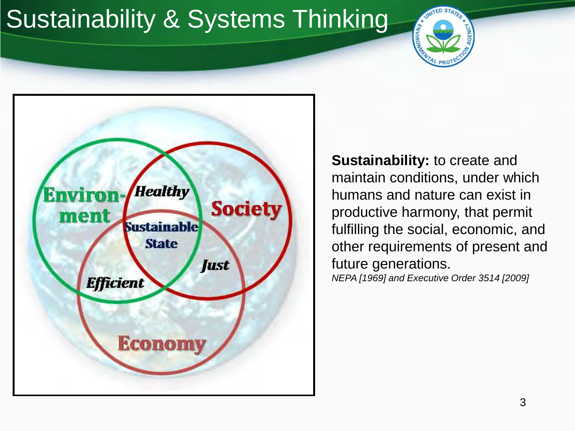# Sustainability & Systems Thinking





**Sustainability:** to create and maintain conditions, under which humans and nature can exist in productive harmony, that permit fulfilling the social, economic, and other requirements of present and future generations. *NEPA [1969] and Executive Order 3514 [2009]*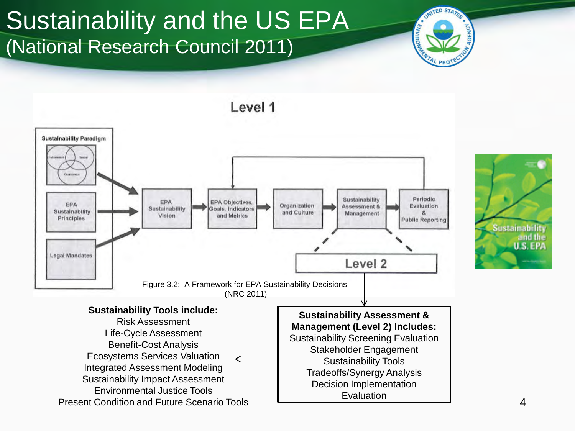## Sustainability and the US EPA (National Research Council 2011)





Evaluation

Integrated Assessment Modeling Sustainability Impact Assessment Tradeoffs/Synergy Analysis Decision Implementation

Environmental Justice Tools Present Condition and Future Scenario Tools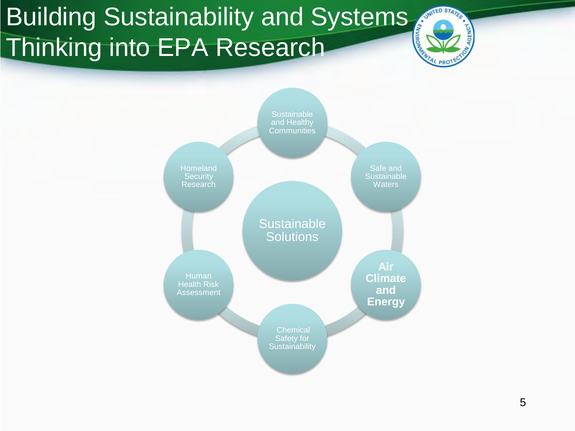# **Building Sustainability and Systems** Thinking into EPA Research



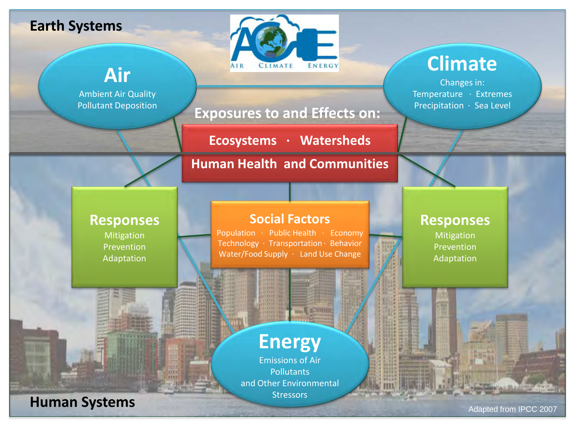#### **Earth Systems**



## **Climate**

Changes in: Temperature ∙ Extremes Precipitation ∙ Sea Level



**Ecosystems ∙ Watersheds**

#### **Human Health and Communities**

#### **Responses**

**Air**

Ambient Air Quality Pollutant Deposition

> Mitigation Prevention Adaptation

**Human Systems**

#### **Social Factors**

Population ∙ Public Health ∙ Economy Technology ∙ Transportation ∙ Behavior Water/Food Supply ∙ Land Use Change

#### **Responses**

Mitigation Prevention Adaptation

## **Energy**

**SCIENTIN** 

Emissions of Air **Pollutants** and Other Environmental **Stressors** 

Adapted from IPCC 2007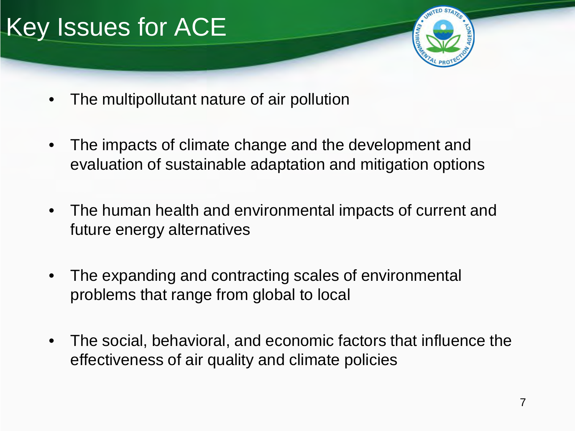

- The multipollutant nature of air pollution
- The impacts of climate change and the development and evaluation of sustainable adaptation and mitigation options
- The human health and environmental impacts of current and future energy alternatives
- The expanding and contracting scales of environmental problems that range from global to local
- The social, behavioral, and economic factors that influence the effectiveness of air quality and climate policies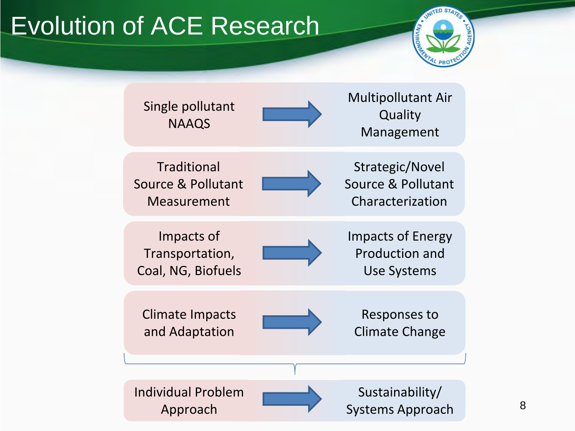# Evolution of ACE Research



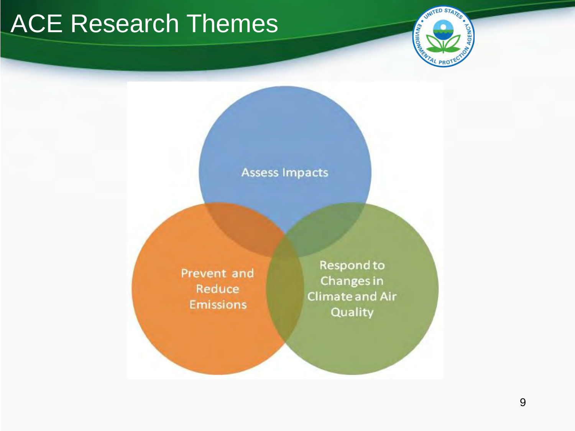## ACE Research Themes



#### **Assess Impacts**

Prevent and Reduce **Emissions** 

Respond to Changes in **Climate and Air** Quality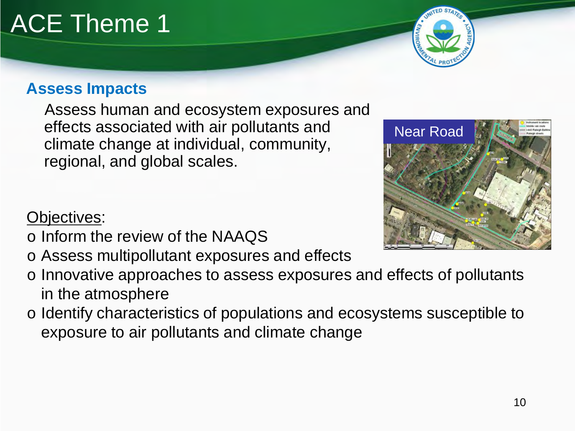#### **Assess Impacts**

Assess human and ecosystem exposures and effects associated with air pollutants and climate change at individual, community, regional, and global scales.

#### Objectives:

- o Inform the review of the NAAQS
- o Assess multipollutant exposures and effects
- o Innovative approaches to assess exposures and effects of pollutants in the atmosphere
- o Identify characteristics of populations and ecosystems susceptible to exposure to air pollutants and climate change





# ACE Theme 1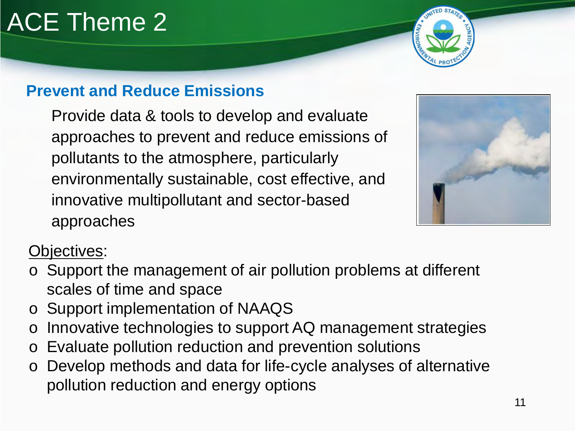# ACE Theme 2

## **Prevent and Reduce Emissions**

Provide data & tools to develop and evaluate approaches to prevent and reduce emissions of pollutants to the atmosphere, particularly environmentally sustainable, cost effective, and innovative multipollutant and sector-based approaches



### Objectives:

- o Support the management of air pollution problems at different scales of time and space
- o Support implementation of NAAQS
- o Innovative technologies to support AQ management strategies
- o Evaluate pollution reduction and prevention solutions
- o Develop methods and data for life-cycle analyses of alternative pollution reduction and energy options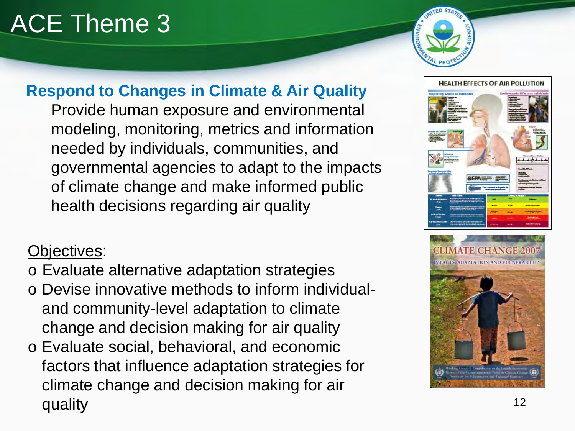# ACE Theme 3



## **Respond to Changes in Climate & Air Quality**

Provide human exposure and environmental modeling, monitoring, metrics and information needed by individuals, communities, and governmental agencies to adapt to the impacts of climate change and make informed public health decisions regarding air quality

#### Objectives:

- o Evaluate alternative adaptation strategies
- o Devise innovative methods to inform individualand community-level adaptation to climate change and decision making for air quality
- o Evaluate social, behavioral, and economic factors that influence adaptation strategies for climate change and decision making for air quality the contract of the contract of the contract of the contract of the contract of the contract of the co



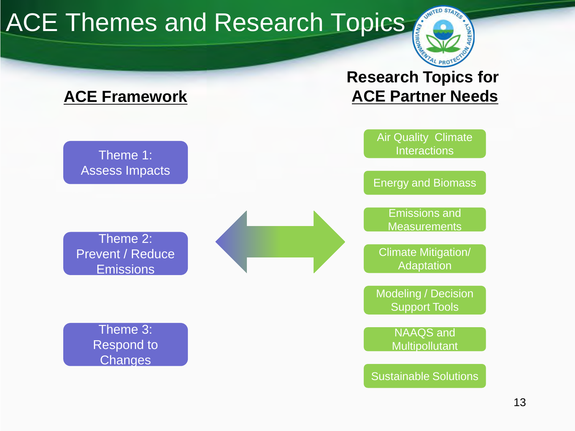# ACE Themes and Research Topics



### **ACE Framework**

Theme 1: Assess Impacts

Theme 2: Prevent / Reduce **Emissions** 

> Theme 3: Respond to **Changes**





Sustainable Solutions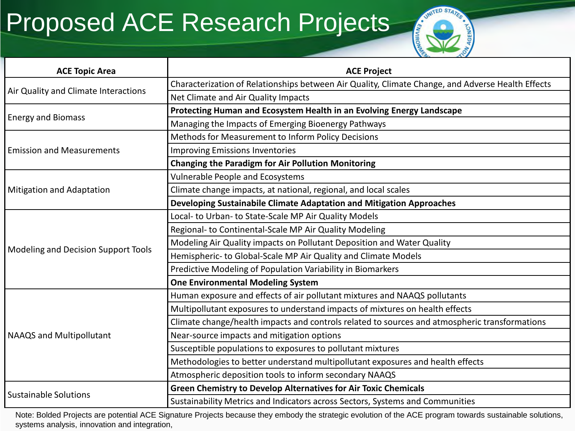## Proposed ACE Research Projects



| <b>ACE Topic Area</b>                | <b>ACE Project</b>                                                                                |
|--------------------------------------|---------------------------------------------------------------------------------------------------|
| Air Quality and Climate Interactions | Characterization of Relationships between Air Quality, Climate Change, and Adverse Health Effects |
|                                      | Net Climate and Air Quality Impacts                                                               |
| <b>Energy and Biomass</b>            | Protecting Human and Ecosystem Health in an Evolving Energy Landscape                             |
|                                      | Managing the Impacts of Emerging Bioenergy Pathways                                               |
| <b>Emission and Measurements</b>     | Methods for Measurement to Inform Policy Decisions                                                |
|                                      | <b>Improving Emissions Inventories</b>                                                            |
|                                      | <b>Changing the Paradigm for Air Pollution Monitoring</b>                                         |
| <b>Mitigation and Adaptation</b>     | Vulnerable People and Ecosystems                                                                  |
|                                      | Climate change impacts, at national, regional, and local scales                                   |
|                                      | Developing Sustainabile Climate Adaptation and Mitigation Approaches                              |
| Modeling and Decision Support Tools  | Local- to Urban- to State-Scale MP Air Quality Models                                             |
|                                      | Regional- to Continental-Scale MP Air Quality Modeling                                            |
|                                      | Modeling Air Quality impacts on Pollutant Deposition and Water Quality                            |
|                                      | Hemispheric- to Global-Scale MP Air Quality and Climate Models                                    |
|                                      | Predictive Modeling of Population Variability in Biomarkers                                       |
|                                      | <b>One Environmental Modeling System</b>                                                          |
| <b>NAAQS and Multipollutant</b>      | Human exposure and effects of air pollutant mixtures and NAAQS pollutants                         |
|                                      | Multipollutant exposures to understand impacts of mixtures on health effects                      |
|                                      | Climate change/health impacts and controls related to sources and atmospheric transformations     |
|                                      | Near-source impacts and mitigation options                                                        |
|                                      | Susceptible populations to exposures to pollutant mixtures                                        |
|                                      | Methodologies to better understand multipollutant exposures and health effects                    |
|                                      | Atmospheric deposition tools to inform secondary NAAQS                                            |
| <b>Sustainable Solutions</b>         | <b>Green Chemistry to Develop Alternatives for Air Toxic Chemicals</b>                            |
|                                      | Sustainability Metrics and Indicators across Sectors, Systems and Communities                     |

Note: Bolded Projects are potential ACE Signature Projects because they embody the strategic evolution of the ACE program towards sustainable solutions, systems analysis, innovation and integration,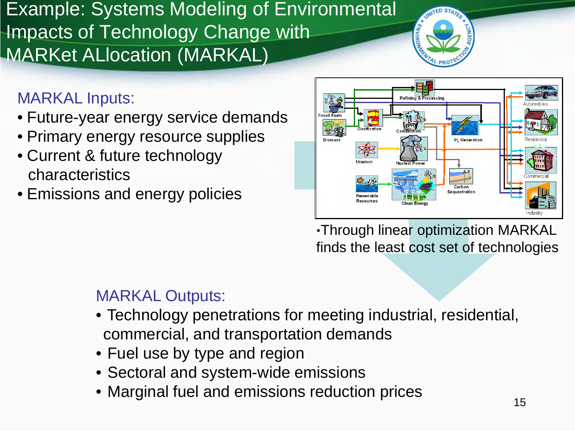Example: Systems Modeling of Environmental Impacts of Technology Change with **MARKet ALlocation (MARKAL)** 



### MARKAL Inputs:

- Future-year energy service demands
- Primary energy resource supplies
- Current & future technology characteristics
- Emissions and energy policies



•Through linear optimization MARKAL finds the least cost set of technologies

## MARKAL Outputs:

- Technology penetrations for meeting industrial, residential, commercial, and transportation demands
- Fuel use by type and region
- Sectoral and system-wide emissions
- Marginal fuel and emissions reduction prices